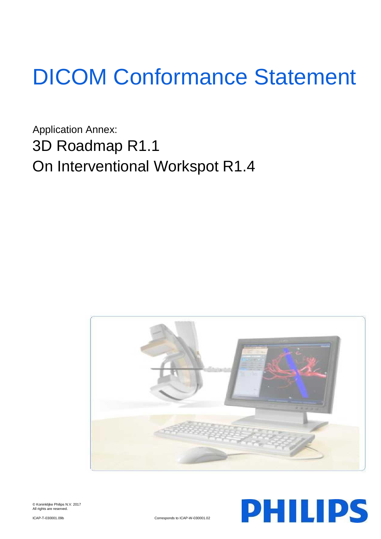# DICOM Conformance Statement

Application Annex: 3D Roadmap R1.1 On Interventional Workspot R1.4





© Koninklijke Philips N.V. 2017 All rights are reserved.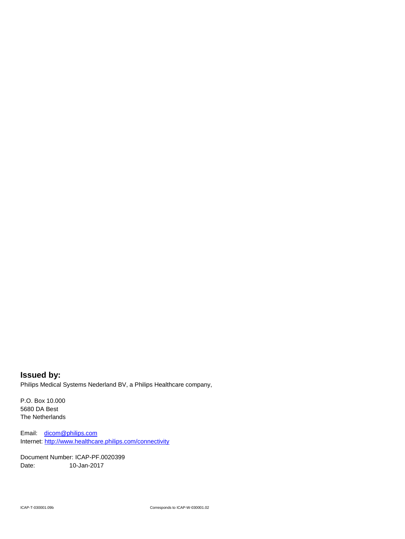**Issued by:** Philips Medical Systems Nederland BV, a Philips Healthcare company,

P.O. Box 10.000 5680 DA Best The Netherlands

Email: [dicom@philips.com](mailto:dicom@philips.com) Internet[: http://www.healthcare.philips.com/connectivity](http://www.healthcare.philips.com/connectivity)

Document Number: ICAP-PF.0020399 Date: 10-Jan-2017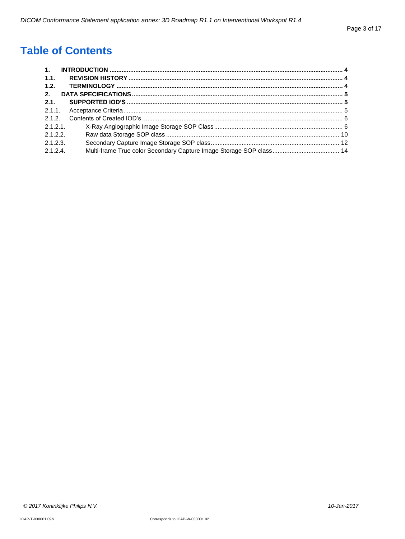# **Table of Contents**

| 1.       |  |
|----------|--|
| 1.1.     |  |
| 1.2.     |  |
| 2.       |  |
| 2.1.     |  |
| 2.1.1.   |  |
| 2.1.2.   |  |
| 2.1.2.1. |  |
| 2.1.2.2  |  |
| 2.1.2.3. |  |
| 2.1.2.4  |  |
|          |  |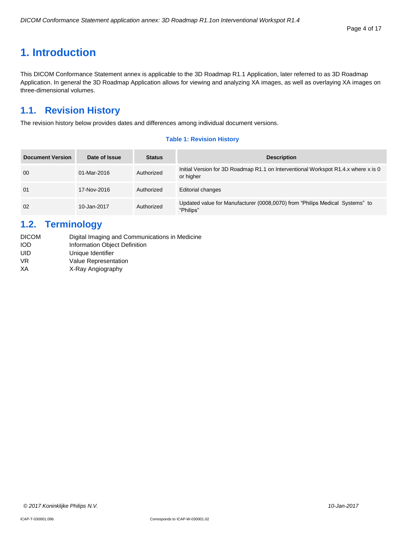#### Page 4 of 17

# <span id="page-3-0"></span>**1. Introduction**

This DICOM Conformance Statement annex is applicable to the 3D Roadmap R1.1 Application, later referred to as 3D Roadmap Application. In general the 3D Roadmap Application allows for viewing and analyzing XA images, as well as overlaying XA images on three-dimensional volumes.

# <span id="page-3-1"></span>**1.1. Revision History**

The revision history below provides dates and differences among individual document versions.

#### **Table 1: Revision History**

| <b>Document Version</b> | Date of Issue | <b>Status</b> | <b>Description</b>                                                                              |
|-------------------------|---------------|---------------|-------------------------------------------------------------------------------------------------|
| 00                      | 01-Mar-2016   | Authorized    | Initial Version for 3D Roadmap R1.1 on Interventional Workspot R1.4.x where x is 0<br>or higher |
| 01                      | 17-Nov-2016   | Authorized    | <b>Editorial changes</b>                                                                        |
| 02                      | 10-Jan-2017   | Authorized    | Updated value for Manufacturer (0008,0070) from "Philips Medical Systems" to<br>"Philips"       |

# <span id="page-3-2"></span>**1.2. Terminology**

| <b>DICOM</b> | Digital Imaging and Communications in Medicine |
|--------------|------------------------------------------------|
| iod          | Information Object Definition                  |
| UID          | Unique Identifier                              |
| VR           | <b>Value Representation</b>                    |
| ΧA           | X-Ray Angiography                              |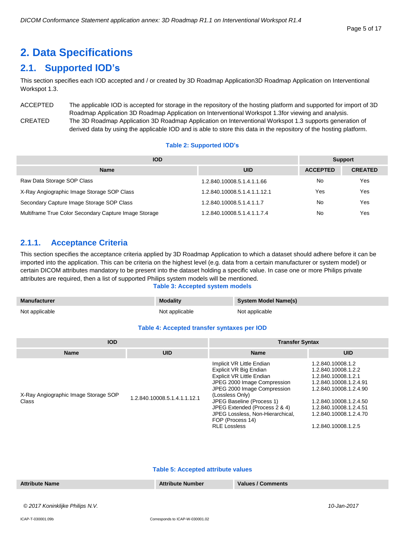# <span id="page-4-0"></span>**2. Data Specifications**

# <span id="page-4-1"></span>**2.1. Supported IOD's**

This section specifies each IOD accepted and / or created by 3D Roadmap Application3D Roadmap Application on Interventional Workspot 1.3.

ACCEPTED The applicable IOD is accepted for storage in the repository of the hosting platform and supported for import of 3D Roadmap Application 3D Roadmap Application on Interventional Workspot 1.3for viewing and analysis. CREATED The 3D Roadmap Application 3D Roadmap Application on Interventional Workspot 1.3 supports generation of derived data by using the applicable IOD and is able to store this data in the repository of the hosting platform.

# **Table 2: Supported IOD's**

| <b>IOD</b>                                            | <b>Support</b>               |                 |                |
|-------------------------------------------------------|------------------------------|-----------------|----------------|
| <b>Name</b>                                           | <b>UID</b>                   | <b>ACCEPTED</b> | <b>CREATED</b> |
| Raw Data Storage SOP Class                            | 1.2.840.10008.5.1.4.1.1.66   | No              | Yes            |
| X-Ray Angiographic Image Storage SOP Class            | 1.2.840.10008.5.1.4.1.1.12.1 | Yes             | Yes            |
| Secondary Capture Image Storage SOP Class             | 1.2.840.10008.5.1.4.1.1.7    | No              | Yes            |
| Multiframe True Color Secondary Capture Image Storage | 1.2.840.10008.5.1.4.1.1.7.4  | No              | Yes            |

# <span id="page-4-2"></span>**2.1.1. Acceptance Criteria**

This section specifies the acceptance criteria applied by 3D Roadmap Application to which a dataset should adhere before it can be imported into the application. This can be criteria on the highest level (e.g. data from a certain manufacturer or system model) or certain DICOM attributes mandatory to be present into the dataset holding a specific value. In case one or more Philips private attributes are required, then a list of supported Philips system models will be mentioned.

#### **Table 3: Accepted system models**

| <b>Manufacturer</b> | <b>Modality</b> | System Model Name(s) |
|---------------------|-----------------|----------------------|
| Not applicable      | Not applicable  | Not applicable       |

#### **Table 4: Accepted transfer syntaxes per IOD**

| <b>IOD</b>                                    |                              | <b>Transfer Syntax</b>                                                                                                                                                                                                                                                                                         |                                                                                                                                                                                                                          |  |
|-----------------------------------------------|------------------------------|----------------------------------------------------------------------------------------------------------------------------------------------------------------------------------------------------------------------------------------------------------------------------------------------------------------|--------------------------------------------------------------------------------------------------------------------------------------------------------------------------------------------------------------------------|--|
| <b>Name</b>                                   | <b>UID</b>                   | <b>Name</b>                                                                                                                                                                                                                                                                                                    | <b>UID</b>                                                                                                                                                                                                               |  |
| X-Ray Angiographic Image Storage SOP<br>Class | 1.2.840.10008.5.1.4.1.1.12.1 | Implicit VR Little Endian<br>Explicit VR Big Endian<br>Explicit VR Little Endian<br>JPEG 2000 Image Compression<br>JPEG 2000 Image Compression<br>(Lossless Only)<br>JPEG Baseline (Process 1)<br>JPEG Extended (Process 2 & 4)<br>JPEG Lossless, Non-Hierarchical,<br>FOP (Process 14)<br><b>RLE Lossless</b> | 1.2.840.10008.1.2<br>1.2.840.10008.1.2.2<br>1.2.840.10008.1.2.1<br>1.2.840.10008.1.2.4.91<br>1.2.840.10008.1.2.4.90<br>1.2.840.10008.1.2.4.50<br>1.2.840.10008.1.2.4.51<br>1.2.840.10008.1.2.4.70<br>1.2.840.10008.1.2.5 |  |

#### **Table 5: Accepted attribute values**

| <b>Attribute Name</b> | <b>Attribute Number</b> | <b>Values / Comments</b> |  |
|-----------------------|-------------------------|--------------------------|--|
|                       |                         |                          |  |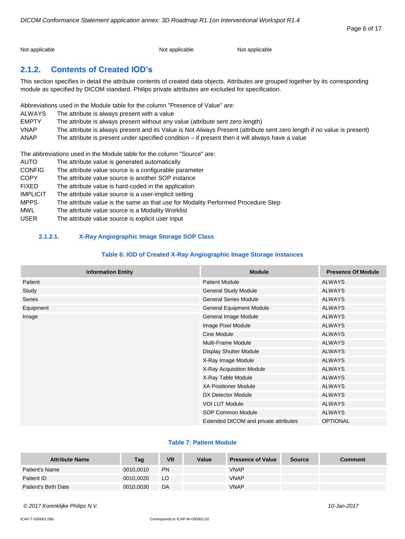Not applicable Not applicable Not applicable Not applicable Not applicable

# <span id="page-5-0"></span>**2.1.2. Contents of Created IOD's**

This section specifies in detail the attribute contents of created data objects. Attributes are grouped together by its corresponding module as specified by DICOM standard. Philips private attributes are excluded for specification.

Abbreviations used in the Module table for the column "Presence of Value" are:

| <b>ALWAYS</b> | The attribute is always present with a value                                                                            |
|---------------|-------------------------------------------------------------------------------------------------------------------------|
| <b>EMPTY</b>  | The attribute is always present without any value (attribute sent zero length)                                          |
| <b>VNAP</b>   | The attribute is always present and its Value is Not Always Present (attribute sent zero length if no value is present) |
| ANAP          | The attribute is present under specified condition $-$ if present then it will always have a value                      |

The abbreviations used in the Module table for the column "Source" are:

| <b>AUTO</b>     | The attribute value is generated automatically                                    |
|-----------------|-----------------------------------------------------------------------------------|
| <b>CONFIG</b>   | The attribute value source is a configurable parameter                            |
| <b>COPY</b>     | The attribute value source is another SOP instance                                |
| <b>FIXED</b>    | The attribute value is hard-coded in the application                              |
| <b>IMPLICIT</b> | The attribute value source is a user-implicit setting                             |
| <b>MPPS</b>     | The attribute value is the same as that use for Modality Performed Procedure Step |
| <b>MWL</b>      | The attribute value source is a Modality Worklist                                 |
| <b>USER</b>     | The attribute value source is explicit user input                                 |

# <span id="page-5-1"></span>**2.1.2.1. X-Ray Angiographic Image Storage SOP Class**

# **Table 6: IOD of Created X-Ray Angiographic Image Storage Instances**

| <b>Information Entity</b> | <b>Module</b>                         | <b>Presence Of Module</b> |
|---------------------------|---------------------------------------|---------------------------|
| Patient                   | <b>Patient Module</b>                 | <b>ALWAYS</b>             |
| Study                     | <b>General Study Module</b>           | <b>ALWAYS</b>             |
| <b>Series</b>             | <b>General Series Module</b>          | <b>ALWAYS</b>             |
| Equipment                 | <b>General Equipment Module</b>       | <b>ALWAYS</b>             |
| Image                     | General Image Module                  | <b>ALWAYS</b>             |
|                           | Image Pixel Module                    | <b>ALWAYS</b>             |
|                           | Cine Module                           | <b>ALWAYS</b>             |
|                           | Multi-Frame Module                    | <b>ALWAYS</b>             |
|                           | <b>Display Shutter Module</b>         | <b>ALWAYS</b>             |
|                           | X-Ray Image Module                    | <b>ALWAYS</b>             |
|                           | X-Ray Acquisition Module              | <b>ALWAYS</b>             |
|                           | X-Ray Table Module                    | <b>ALWAYS</b>             |
|                           | <b>XA Positioner Module</b>           | <b>ALWAYS</b>             |
|                           | DX Detector Module                    | <b>ALWAYS</b>             |
|                           | <b>VOI LUT Module</b>                 | <b>ALWAYS</b>             |
|                           | SOP Common Module                     | ALWAYS                    |
|                           | Extended DICOM and private attributes | <b>OPTIONAL</b>           |

## **Table 7: Patient Module**

| <b>Attribute Name</b> | Tag       | <b>VR</b> | Value | <b>Presence of Value</b> | <b>Source</b> | <b>Comment</b> |
|-----------------------|-----------|-----------|-------|--------------------------|---------------|----------------|
| Patient's Name        | 0010,0010 | <b>PN</b> |       | VNAP                     |               |                |
| Patient ID            | 0010.0020 | LO.       |       | <b>VNAP</b>              |               |                |
| Patient's Birth Date  | 0010,0030 | DA        |       | <b>VNAP</b>              |               |                |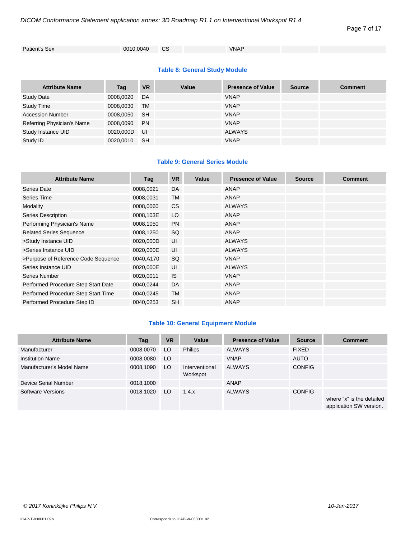```
Patient's Sex 0010,0040 CS VNAP
```
# **Table 8: General Study Module**

| <b>Attribute Name</b>      | Tag       | <b>VR</b> | Value | <b>Presence of Value</b> | <b>Source</b> | <b>Comment</b> |
|----------------------------|-----------|-----------|-------|--------------------------|---------------|----------------|
| <b>Study Date</b>          | 0008,0020 | DA        |       | <b>VNAP</b>              |               |                |
| <b>Study Time</b>          | 0008,0030 | TM        |       | <b>VNAP</b>              |               |                |
| <b>Accession Number</b>    | 0008,0050 | -SH       |       | <b>VNAP</b>              |               |                |
| Referring Physician's Name | 0008,0090 | <b>PN</b> |       | <b>VNAP</b>              |               |                |
| Study Instance UID         | 0020,000D | UI        |       | <b>ALWAYS</b>            |               |                |
| Study ID                   | 0020.0010 | <b>SH</b> |       | <b>VNAP</b>              |               |                |

# **Table 9: General Series Module**

| <b>Attribute Name</b>               | Tag       | <b>VR</b> | Value | <b>Presence of Value</b> | <b>Source</b> | <b>Comment</b> |
|-------------------------------------|-----------|-----------|-------|--------------------------|---------------|----------------|
| Series Date                         | 0008,0021 | <b>DA</b> |       | ANAP                     |               |                |
| Series Time                         | 0008,0031 | <b>TM</b> |       | ANAP                     |               |                |
| Modality                            | 0008,0060 | <b>CS</b> |       | <b>ALWAYS</b>            |               |                |
| Series Description                  | 0008,103E | LO        |       | ANAP                     |               |                |
| Performing Physician's Name         | 0008,1050 | <b>PN</b> |       | <b>ANAP</b>              |               |                |
| <b>Related Series Sequence</b>      | 0008,1250 | SQ        |       | ANAP                     |               |                |
| >Study Instance UID                 | 0020,000D | UI        |       | <b>ALWAYS</b>            |               |                |
| >Series Instance UID                | 0020,000E | UI        |       | <b>ALWAYS</b>            |               |                |
| >Purpose of Reference Code Sequence | 0040,A170 | <b>SQ</b> |       | <b>VNAP</b>              |               |                |
| Series Instance UID                 | 0020,000E | UI        |       | <b>ALWAYS</b>            |               |                |
| Series Number                       | 0020,0011 | <b>IS</b> |       | <b>VNAP</b>              |               |                |
| Performed Procedure Step Start Date | 0040,0244 | <b>DA</b> |       | ANAP                     |               |                |
| Performed Procedure Step Start Time | 0040,0245 | <b>TM</b> |       | ANAP                     |               |                |
| Performed Procedure Step ID         | 0040,0253 | <b>SH</b> |       | <b>ANAP</b>              |               |                |

# **Table 10: General Equipment Module**

| <b>Attribute Name</b>     | Tag       | <b>VR</b> | Value                      | <b>Presence of Value</b> | <b>Source</b> | <b>Comment</b>                                       |
|---------------------------|-----------|-----------|----------------------------|--------------------------|---------------|------------------------------------------------------|
| Manufacturer              | 0008,0070 | LO        | <b>Philips</b>             | <b>ALWAYS</b>            | <b>FIXED</b>  |                                                      |
| <b>Institution Name</b>   | 0008,0080 | LO.       |                            | <b>VNAP</b>              | <b>AUTO</b>   |                                                      |
| Manufacturer's Model Name | 0008,1090 | LO.       | Interventional<br>Workspot | <b>ALWAYS</b>            | <b>CONFIG</b> |                                                      |
| Device Serial Number      | 0018,1000 |           |                            | ANAP                     |               |                                                      |
| Software Versions         | 0018,1020 | LO.       | 1.4.x                      | <b>ALWAYS</b>            | <b>CONFIG</b> | where "x" is the detailed<br>application SW version. |

Page 7 of 17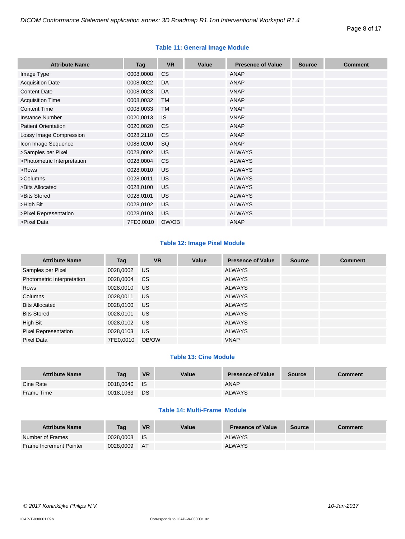| <b>Attribute Name</b>       | Tag       | <b>VR</b> | Value | <b>Presence of Value</b> | <b>Source</b> | <b>Comment</b> |
|-----------------------------|-----------|-----------|-------|--------------------------|---------------|----------------|
| Image Type                  | 0008,0008 | <b>CS</b> |       | <b>ANAP</b>              |               |                |
| <b>Acquisition Date</b>     | 0008,0022 | DA        |       | <b>ANAP</b>              |               |                |
|                             |           |           |       |                          |               |                |
| <b>Content Date</b>         | 0008,0023 | DA        |       | <b>VNAP</b>              |               |                |
| <b>Acquisition Time</b>     | 0008,0032 | TM        |       | <b>ANAP</b>              |               |                |
| <b>Content Time</b>         | 0008,0033 | <b>TM</b> |       | <b>VNAP</b>              |               |                |
| <b>Instance Number</b>      | 0020,0013 | IS.       |       | <b>VNAP</b>              |               |                |
| <b>Patient Orientation</b>  | 0020,0020 | <b>CS</b> |       | <b>ANAP</b>              |               |                |
| Lossy Image Compression     | 0028,2110 | <b>CS</b> |       | <b>ANAP</b>              |               |                |
| Icon Image Sequence         | 0088,0200 | SQ        |       | <b>ANAP</b>              |               |                |
| >Samples per Pixel          | 0028,0002 | <b>US</b> |       | <b>ALWAYS</b>            |               |                |
| >Photometric Interpretation | 0028,0004 | <b>CS</b> |       | <b>ALWAYS</b>            |               |                |
| >Rows                       | 0028,0010 | <b>US</b> |       | <b>ALWAYS</b>            |               |                |
| >Columns                    | 0028,0011 | <b>US</b> |       | <b>ALWAYS</b>            |               |                |
| >Bits Allocated             | 0028,0100 | <b>US</b> |       | <b>ALWAYS</b>            |               |                |
| >Bits Stored                | 0028,0101 | <b>US</b> |       | <b>ALWAYS</b>            |               |                |
| >High Bit                   | 0028,0102 | US        |       | <b>ALWAYS</b>            |               |                |
| >Pixel Representation       | 0028,0103 | <b>US</b> |       | <b>ALWAYS</b>            |               |                |
| >Pixel Data                 | 7FE0,0010 | OW/OB     |       | <b>ANAP</b>              |               |                |

# **Table 11: General Image Module**

# **Table 12: Image Pixel Module**

| <b>Attribute Name</b>       | Tag       | <b>VR</b>       | Value | <b>Presence of Value</b> | <b>Source</b> | <b>Comment</b> |
|-----------------------------|-----------|-----------------|-------|--------------------------|---------------|----------------|
| Samples per Pixel           | 0028,0002 | US <sub>1</sub> |       | <b>ALWAYS</b>            |               |                |
| Photometric Interpretation  | 0028,0004 | CS.             |       | <b>ALWAYS</b>            |               |                |
| Rows                        | 0028,0010 | US.             |       | <b>ALWAYS</b>            |               |                |
| Columns                     | 0028,0011 | US.             |       | <b>ALWAYS</b>            |               |                |
| <b>Bits Allocated</b>       | 0028,0100 | US.             |       | <b>ALWAYS</b>            |               |                |
| <b>Bits Stored</b>          | 0028,0101 | US.             |       | <b>ALWAYS</b>            |               |                |
| High Bit                    | 0028,0102 | US.             |       | <b>ALWAYS</b>            |               |                |
| <b>Pixel Representation</b> | 0028,0103 | US.             |       | <b>ALWAYS</b>            |               |                |
| Pixel Data                  | 7FE0.0010 | OB/OW           |       | <b>VNAP</b>              |               |                |

# **Table 13: Cine Module**

| <b>Attribute Name</b> | Taq       | <b>VR</b> | Value | <b>Presence of Value</b> | Source | <b>Comment</b> |
|-----------------------|-----------|-----------|-------|--------------------------|--------|----------------|
| Cine Rate             | 0018.0040 | ⊟ IS      |       | <b>ANAP</b>              |        |                |
| Frame Time            | 0018.1063 | <b>DS</b> |       | <b>ALWAYS</b>            |        |                |

# **Table 14: Multi-Frame Module**

| <b>Attribute Name</b>          | Taq       | <b>VR</b> | Value | <b>Presence of Value</b> | <b>Source</b> | Comment |
|--------------------------------|-----------|-----------|-------|--------------------------|---------------|---------|
| Number of Frames               | 0028,0008 | <b>IS</b> |       | <b>ALWAYS</b>            |               |         |
| <b>Frame Increment Pointer</b> | 0028.0009 | <b>AT</b> |       | <b>ALWAYS</b>            |               |         |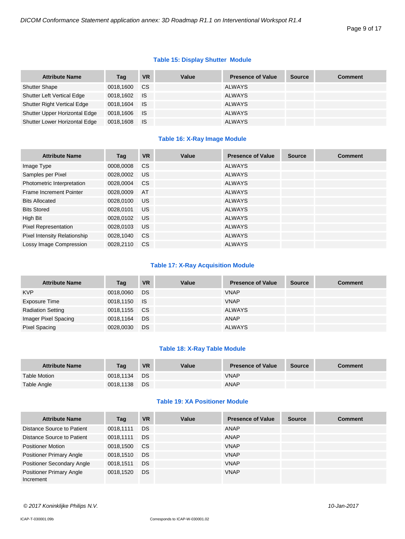# **Table 15: Display Shutter Module**

| <b>Attribute Name</b>             | Tag       | <b>VR</b>   | Value | <b>Presence of Value</b> | <b>Source</b> | <b>Comment</b> |
|-----------------------------------|-----------|-------------|-------|--------------------------|---------------|----------------|
| <b>Shutter Shape</b>              | 0018.1600 | CS.         |       | ALWAYS                   |               |                |
| <b>Shutter Left Vertical Edge</b> | 0018,1602 | <b>I</b> IS |       | ALWAYS                   |               |                |
| Shutter Right Vertical Edge       | 0018.1604 | <b>I</b> IS |       | ALWAYS                   |               |                |
| Shutter Upper Horizontal Edge     | 0018,1606 | <b>IS</b>   |       | <b>ALWAYS</b>            |               |                |
| Shutter Lower Horizontal Edge     | 0018,1608 | ⊟ IS        |       | <b>ALWAYS</b>            |               |                |

# **Table 16: X-Ray Image Module**

| <b>Attribute Name</b>               | Tag       | <b>VR</b>     | Value | <b>Presence of Value</b> | <b>Source</b> | <b>Comment</b> |
|-------------------------------------|-----------|---------------|-------|--------------------------|---------------|----------------|
| Image Type                          | 0008,0008 | <b>CS</b>     |       | <b>ALWAYS</b>            |               |                |
| Samples per Pixel                   | 0028,0002 | US            |       | <b>ALWAYS</b>            |               |                |
| Photometric Interpretation          | 0028,0004 | <sub>CS</sub> |       | <b>ALWAYS</b>            |               |                |
| Frame Increment Pointer             | 0028,0009 | AT            |       | <b>ALWAYS</b>            |               |                |
| <b>Bits Allocated</b>               | 0028,0100 | <b>US</b>     |       | <b>ALWAYS</b>            |               |                |
| <b>Bits Stored</b>                  | 0028.0101 | US            |       | <b>ALWAYS</b>            |               |                |
| High Bit                            | 0028,0102 | <b>US</b>     |       | <b>ALWAYS</b>            |               |                |
| <b>Pixel Representation</b>         | 0028.0103 | <b>US</b>     |       | <b>ALWAYS</b>            |               |                |
| <b>Pixel Intensity Relationship</b> | 0028,1040 | <sub>CS</sub> |       | <b>ALWAYS</b>            |               |                |
| Lossy Image Compression             | 0028.2110 | <b>CS</b>     |       | <b>ALWAYS</b>            |               |                |

# **Table 17: X-Ray Acquisition Module**

| <b>Attribute Name</b>    | Tag          | <b>VR</b> | Value | <b>Presence of Value</b> | <b>Source</b> | <b>Comment</b> |
|--------------------------|--------------|-----------|-------|--------------------------|---------------|----------------|
| <b>KVP</b>               | 0018,0060    | DS.       |       | <b>VNAP</b>              |               |                |
| Exposure Time            | 0018,1150 IS |           |       | <b>VNAP</b>              |               |                |
| <b>Radiation Setting</b> | 0018,1155 CS |           |       | <b>ALWAYS</b>            |               |                |
| Imager Pixel Spacing     | 0018,1164    | DS.       |       | ANAP                     |               |                |
| <b>Pixel Spacing</b>     | 0028,0030    | <b>DS</b> |       | <b>ALWAYS</b>            |               |                |

# **Table 18: X-Ray Table Module**

| <b>Attribute Name</b> | Tag       | <b>VR</b> | Value | <b>Presence of Value</b> | <b>Source</b> | <b>Comment</b> |
|-----------------------|-----------|-----------|-------|--------------------------|---------------|----------------|
| <b>Table Motion</b>   | 0018.1134 | <b>DS</b> |       | <b>VNAP</b>              |               |                |
| Table Angle           | 0018.1138 | <b>DS</b> |       | <b>ANAP</b>              |               |                |

# **Table 19: XA Positioner Module**

| <b>Attribute Name</b>                        | Tag       | <b>VR</b> | Value | <b>Presence of Value</b> | <b>Source</b> | <b>Comment</b> |
|----------------------------------------------|-----------|-----------|-------|--------------------------|---------------|----------------|
| Distance Source to Patient                   | 0018,1111 | DS.       |       | ANAP                     |               |                |
| Distance Source to Patient                   | 0018.1111 | DS.       |       | ANAP                     |               |                |
| <b>Positioner Motion</b>                     | 0018,1500 | <b>CS</b> |       | <b>VNAP</b>              |               |                |
| <b>Positioner Primary Angle</b>              | 0018,1510 | DS.       |       | <b>VNAP</b>              |               |                |
| <b>Positioner Secondary Angle</b>            | 0018.1511 | DS.       |       | <b>VNAP</b>              |               |                |
| <b>Positioner Primary Angle</b><br>Increment | 0018.1520 | DS.       |       | <b>VNAP</b>              |               |                |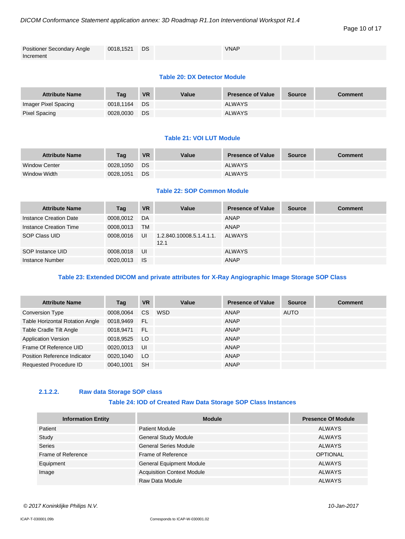#### Page 10 of 17

| <b>Positioner Secondary Angle</b> | 0018,1521 DS | <b>VNAP</b> |  |
|-----------------------------------|--------------|-------------|--|
| Increment                         |              |             |  |

# **Table 20: DX Detector Module**

| <b>Attribute Name</b> | Taq       | <b>VR</b> | Value | <b>Presence of Value</b> | <b>Source</b> | <b>Comment</b> |
|-----------------------|-----------|-----------|-------|--------------------------|---------------|----------------|
| Imager Pixel Spacing  | 0018.1164 | DS        |       | <b>ALWAYS</b>            |               |                |
| Pixel Spacing         | 0028,0030 | <b>DS</b> |       | <b>ALWAYS</b>            |               |                |

#### **Table 21: VOI LUT Module**

| <b>Attribute Name</b> | Taq       | <b>VR</b> | Value | <b>Presence of Value</b> | <b>Source</b> | <b>Comment</b> |
|-----------------------|-----------|-----------|-------|--------------------------|---------------|----------------|
| <b>Window Center</b>  | 0028.1050 | DS        |       | <b>ALWAYS</b>            |               |                |
| Window Width          | 0028.1051 | DS        |       | <b>ALWAYS</b>            |               |                |

# **Table 22: SOP Common Module**

| <b>Attribute Name</b>  | Tag       | <b>VR</b> | Value                            | <b>Presence of Value</b> | <b>Source</b> | <b>Comment</b> |
|------------------------|-----------|-----------|----------------------------------|--------------------------|---------------|----------------|
| Instance Creation Date | 0008.0012 | DA        |                                  | ANAP                     |               |                |
| Instance Creation Time | 0008,0013 | <b>TM</b> |                                  | ANAP                     |               |                |
| SOP Class UID          | 0008,0016 | UI        | 1.2.840.10008.5.1.4.1.1.<br>12.1 | <b>ALWAYS</b>            |               |                |
| SOP Instance UID       | 0008.0018 | UI        |                                  | <b>ALWAYS</b>            |               |                |
| Instance Number        | 0020,0013 | <b>IS</b> |                                  | <b>ANAP</b>              |               |                |

# **Table 23: Extended DICOM and private attributes for X-Ray Angiographic Image Storage SOP Class**

| <b>Attribute Name</b>                  | Tag       | <b>VR</b>     | Value | <b>Presence of Value</b> | <b>Source</b> | <b>Comment</b> |
|----------------------------------------|-----------|---------------|-------|--------------------------|---------------|----------------|
| <b>Conversion Type</b>                 | 0008,0064 | <sub>CS</sub> | WSD   | ANAP                     | AUTO          |                |
| <b>Table Horizontal Rotation Angle</b> | 0018,9469 | - FL          |       | ANAP                     |               |                |
| Table Cradle Tilt Angle                | 0018.9471 | <b>FL</b>     |       | ANAP                     |               |                |
| <b>Application Version</b>             | 0018,9525 | LO.           |       | ANAP                     |               |                |
| Frame Of Reference UID                 | 0020.0013 | UI            |       | ANAP                     |               |                |
| Position Reference Indicator           | 0020,1040 | LO            |       | ANAP                     |               |                |
| Requested Procedure ID                 | 0040,1001 | <b>SH</b>     |       | <b>ANAP</b>              |               |                |

# <span id="page-9-0"></span>**2.1.2.2. Raw data Storage SOP class**

# **Table 24: IOD of Created Raw Data Storage SOP Class Instances**

| <b>Information Entity</b> | <b>Module</b>                     | <b>Presence Of Module</b> |
|---------------------------|-----------------------------------|---------------------------|
| Patient                   | Patient Module                    | <b>ALWAYS</b>             |
| Study                     | <b>General Study Module</b>       | <b>ALWAYS</b>             |
| <b>Series</b>             | <b>General Series Module</b>      | <b>ALWAYS</b>             |
| Frame of Reference        | Frame of Reference                | <b>OPTIONAL</b>           |
| Equipment                 | <b>General Equipment Module</b>   | <b>ALWAYS</b>             |
| Image                     | <b>Acquisition Context Module</b> | <b>ALWAYS</b>             |
|                           | Raw Data Module                   | <b>ALWAYS</b>             |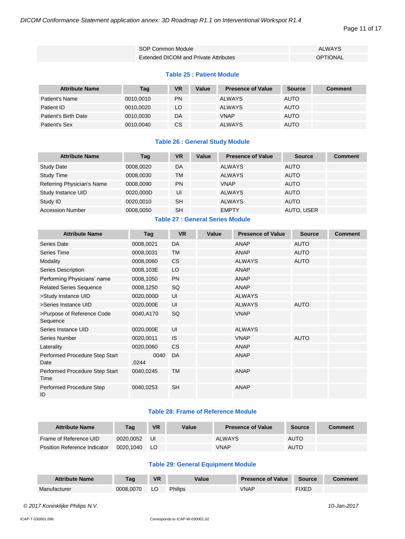# Page 11 of 17

| SOP Common Module                     | <b>ALWAYS</b> |
|---------------------------------------|---------------|
| Extended DICOM and Private Attributes | OPTIONAL      |

#### **Table 25 : Patient Module**

| <b>Attribute Name</b> | Tag       | VR        | Value | <b>Presence of Value</b> | <b>Source</b> | <b>Comment</b> |
|-----------------------|-----------|-----------|-------|--------------------------|---------------|----------------|
| Patient's Name        | 0010,0010 | <b>PN</b> |       | <b>ALWAYS</b>            | <b>AUTO</b>   |                |
| Patient ID            | 0010,0020 | LO        |       | <b>ALWAYS</b>            | <b>AUTO</b>   |                |
| Patient's Birth Date  | 0010,0030 | DA        |       | <b>VNAP</b>              | <b>AUTO</b>   |                |
| Patient's Sex         | 0010,0040 | CS.       |       | <b>ALWAYS</b>            | <b>AUTO</b>   |                |

# **Table 26 : General Study Module**

| <b>Attribute Name</b>      | Tag       | VR        | Value | <b>Presence of Value</b> | <b>Source</b> | <b>Comment</b> |
|----------------------------|-----------|-----------|-------|--------------------------|---------------|----------------|
| <b>Study Date</b>          | 0008.0020 | DA        |       | <b>ALWAYS</b>            | <b>AUTO</b>   |                |
| <b>Study Time</b>          | 0008.0030 | TM        |       | <b>ALWAYS</b>            | <b>AUTO</b>   |                |
| Referring Physician's Name | 0008.0090 | <b>PN</b> |       | <b>VNAP</b>              | <b>AUTO</b>   |                |
| Study Instance UID         | 0020.000D | UI        |       | <b>ALWAYS</b>            | <b>AUTO</b>   |                |
| Study ID                   | 0020.0010 | <b>SH</b> |       | <b>ALWAYS</b>            | <b>AUTO</b>   |                |
| <b>Accession Number</b>    | 0008,0050 | SH        |       | <b>EMPTY</b>             | AUTO, USER    |                |

# **Table 27 : General Series Module**

| <b>Attribute Name</b>                  | Tag           | <b>VR</b> | Value | <b>Presence of Value</b> | <b>Source</b> | <b>Comment</b> |
|----------------------------------------|---------------|-----------|-------|--------------------------|---------------|----------------|
| <b>Series Date</b>                     | 0008,0021     | DA        |       | ANAP                     | <b>AUTO</b>   |                |
| Series Time                            | 0008,0031     | <b>TM</b> |       | <b>ANAP</b>              | <b>AUTO</b>   |                |
| Modality                               | 0008,0060     | <b>CS</b> |       | <b>ALWAYS</b>            | <b>AUTO</b>   |                |
| Series Description                     | 0008,103E     | LO        |       | <b>ANAP</b>              |               |                |
| Performing Physicians' name            | 0008,1050     | <b>PN</b> |       | <b>ANAP</b>              |               |                |
| <b>Related Series Sequence</b>         | 0008,1250     | SQ        |       | <b>ANAP</b>              |               |                |
| >Study Instance UID                    | 0020,000D     | UI        |       | <b>ALWAYS</b>            |               |                |
| >Series Instance UID                   | 0020,000E     | UI        |       | <b>ALWAYS</b>            | <b>AUTO</b>   |                |
| >Purpose of Reference Code<br>Sequence | 0040,A170     | SQ        |       | <b>VNAP</b>              |               |                |
| Series Instance UID                    | 0020,000E     | UI        |       | <b>ALWAYS</b>            |               |                |
| Series Number                          | 0020,0011     | <b>IS</b> |       | <b>VNAP</b>              | <b>AUTO</b>   |                |
| Laterality                             | 0020,0060     | CS.       |       | <b>ANAP</b>              |               |                |
| Performed Procedure Step Start<br>Date | 0040<br>,0244 | DA        |       | <b>ANAP</b>              |               |                |
| Performed Procedure Step Start<br>Time | 0040,0245     | TM        |       | <b>ANAP</b>              |               |                |
| Performed Procedure Step<br>ID         | 0040,0253     | <b>SH</b> |       | <b>ANAP</b>              |               |                |

# **Table 28: Frame of Reference Module**

| <b>Attribute Name</b>        | Tag       | <b>VR</b> | Value | <b>Presence of Value</b> | <b>Source</b> | <b>Comment</b> |
|------------------------------|-----------|-----------|-------|--------------------------|---------------|----------------|
| Frame of Reference UID       | 0020.0052 | IJI       |       | <b>ALWAYS</b>            | AUTO          |                |
| Position Reference Indicator | 0020.1040 | LO.       |       | <b>VNAP</b>              | <b>AUTO</b>   |                |

# **Table 29: General Equipment Module**

| <b>Attribute Name</b> | Tag       | <b>VR</b> | 'alue          | <b>Presence of Value</b> | Source       |  |
|-----------------------|-----------|-----------|----------------|--------------------------|--------------|--|
| Manufacturer          | 0008.0070 | LU        | <b>Philips</b> | /NAF                     | <b>TIXED</b> |  |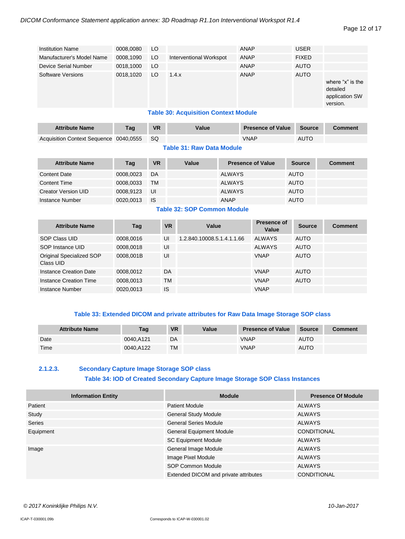#### Page 12 of 17

| <b>Institution Name</b>   | 0008,0080                                   | LO  |                         | ANAP | <b>USER</b>  |                                                            |  |  |  |  |
|---------------------------|---------------------------------------------|-----|-------------------------|------|--------------|------------------------------------------------------------|--|--|--|--|
| Manufacturer's Model Name | 0008,1090                                   | LO  | Interventional Workspot | ANAP | <b>FIXED</b> |                                                            |  |  |  |  |
| Device Serial Number      | 0018,1000                                   | LO. |                         | ANAP | <b>AUTO</b>  |                                                            |  |  |  |  |
| Software Versions         | 0018,1020                                   | LO  | 1.4.x                   | ANAP | <b>AUTO</b>  | where "x" is the<br>detailed<br>application SW<br>version. |  |  |  |  |
|                           | <b>Table 30: Acquisition Context Module</b> |     |                         |      |              |                                                            |  |  |  |  |

#### **Table 30: Acquisition Context Module**

| <b>Attribute Name</b>                     | Tag | <b>VR</b> | Value | <b>Presence of Value</b> | Source | <b>Comment</b> |
|-------------------------------------------|-----|-----------|-------|--------------------------|--------|----------------|
| Acquisition Context Sequence 0040,0555 SQ |     |           |       | VNAP                     | AUTO   |                |

#### **Table 31: Raw Data Module**

| <b>Attribute Name</b>      | Tag       | <b>VR</b> | Value | <b>Presence of Value</b> | <b>Source</b> | <b>Comment</b> |
|----------------------------|-----------|-----------|-------|--------------------------|---------------|----------------|
| <b>Content Date</b>        | 0008.0023 | DA        |       | <b>ALWAYS</b>            | <b>AUTO</b>   |                |
| <b>Content Time</b>        | 0008.0033 | <b>TM</b> |       | <b>ALWAYS</b>            | <b>AUTO</b>   |                |
| <b>Creator Version UID</b> | 0008,9123 | UI        |       | <b>ALWAYS</b>            | <b>AUTO</b>   |                |
| Instance Number            | 0020,0013 | IS        |       | <b>ANAP</b>              | <b>AUTO</b>   |                |

# **Table 32: SOP Common Module**

| <b>Attribute Name</b>                 | Tag       | <b>VR</b> | Value                      | Presence of<br>Value | <b>Source</b> | <b>Comment</b> |
|---------------------------------------|-----------|-----------|----------------------------|----------------------|---------------|----------------|
| SOP Class UID                         | 0008.0016 | UI        | 1.2.840.10008.5.1.4.1.1.66 | <b>ALWAYS</b>        | <b>AUTO</b>   |                |
| SOP Instance UID                      | 0008,0018 | UI        |                            | <b>ALWAYS</b>        | <b>AUTO</b>   |                |
| Original Specialized SOP<br>Class UID | 0008.001B | UI        |                            | <b>VNAP</b>          | <b>AUTO</b>   |                |
| Instance Creation Date                | 0008,0012 | DA        |                            | <b>VNAP</b>          | <b>AUTO</b>   |                |
| Instance Creation Time                | 0008.0013 | <b>TM</b> |                            | <b>VNAP</b>          | <b>AUTO</b>   |                |
| Instance Number                       | 0020,0013 | IS        |                            | <b>VNAP</b>          |               |                |

# **Table 33: Extended DICOM and private attributes for Raw Data Image Storage SOP class**

| <b>Attribute Name</b> | Taq       | <b>VR</b> | Value | <b>Presence of Value</b> | <b>Source</b> | <b>Comment</b> |
|-----------------------|-----------|-----------|-------|--------------------------|---------------|----------------|
| Date                  | 0040.A121 | DA        |       | VNAP                     | <b>AUTO</b>   |                |
| Time                  | 0040.A122 | <b>TM</b> |       | <b>VNAP</b>              | AUTO          |                |

# <span id="page-11-0"></span>**2.1.2.3. Secondary Capture Image Storage SOP class**

#### **Table 34: IOD of Created Secondary Capture Image Storage SOP Class Instances**

| <b>Information Entity</b> | <b>Module</b>                         | <b>Presence Of Module</b> |
|---------------------------|---------------------------------------|---------------------------|
| Patient                   | <b>Patient Module</b>                 | <b>ALWAYS</b>             |
| Study                     | <b>General Study Module</b>           | <b>ALWAYS</b>             |
| Series                    | <b>General Series Module</b>          | <b>ALWAYS</b>             |
| Equipment                 | <b>General Equipment Module</b>       | <b>CONDITIONAL</b>        |
|                           | <b>SC Equipment Module</b>            | <b>ALWAYS</b>             |
| Image                     | General Image Module                  | <b>ALWAYS</b>             |
|                           | Image Pixel Module                    | <b>ALWAYS</b>             |
|                           | SOP Common Module                     | <b>ALWAYS</b>             |
|                           | Extended DICOM and private attributes | <b>CONDITIONAL</b>        |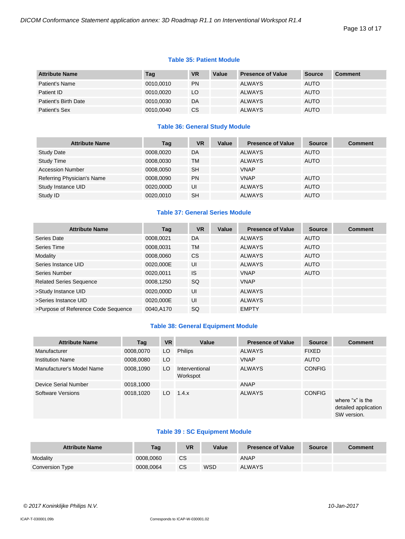#### Page 13 of 17

#### **Table 35: Patient Module**

| <b>Attribute Name</b> | Tag       | <b>VR</b> | Value | <b>Presence of Value</b> | Source      | <b>Comment</b> |
|-----------------------|-----------|-----------|-------|--------------------------|-------------|----------------|
| Patient's Name        | 0010,0010 | <b>PN</b> |       | <b>ALWAYS</b>            | <b>AUTO</b> |                |
| Patient ID            | 0010.0020 | LO        |       | <b>ALWAYS</b>            | <b>AUTO</b> |                |
| Patient's Birth Date  | 0010.0030 | DA        |       | <b>ALWAYS</b>            | <b>AUTO</b> |                |
| Patient's Sex         | 0010,0040 | CS.       |       | <b>ALWAYS</b>            | <b>AUTO</b> |                |

# **Table 36: General Study Module**

| <b>Attribute Name</b>      | Tag       | VR        | Value | <b>Presence of Value</b> | <b>Source</b> | <b>Comment</b> |
|----------------------------|-----------|-----------|-------|--------------------------|---------------|----------------|
| <b>Study Date</b>          | 0008,0020 | DA        |       | <b>ALWAYS</b>            | <b>AUTO</b>   |                |
| <b>Study Time</b>          | 0008,0030 | TM        |       | <b>ALWAYS</b>            | <b>AUTO</b>   |                |
| <b>Accession Number</b>    | 0008.0050 | <b>SH</b> |       | <b>VNAP</b>              |               |                |
| Referring Physician's Name | 0008.0090 | <b>PN</b> |       | <b>VNAP</b>              | <b>AUTO</b>   |                |
| Study Instance UID         | 0020,000D | UI        |       | <b>ALWAYS</b>            | <b>AUTO</b>   |                |
| Study ID                   | 0020,0010 | <b>SH</b> |       | <b>ALWAYS</b>            | <b>AUTO</b>   |                |

# **Table 37: General Series Module**

| <b>Attribute Name</b>               | Tag       | <b>VR</b>     | Value | <b>Presence of Value</b> | <b>Source</b> | <b>Comment</b> |
|-------------------------------------|-----------|---------------|-------|--------------------------|---------------|----------------|
| Series Date                         | 0008,0021 | DA            |       | <b>ALWAYS</b>            | <b>AUTO</b>   |                |
| Series Time                         | 0008,0031 | <b>TM</b>     |       | <b>ALWAYS</b>            | <b>AUTO</b>   |                |
| Modality                            | 0008,0060 | <sub>CS</sub> |       | <b>ALWAYS</b>            | <b>AUTO</b>   |                |
| Series Instance UID                 | 0020,000E | UI            |       | <b>ALWAYS</b>            | <b>AUTO</b>   |                |
| Series Number                       | 0020,0011 | <b>IS</b>     |       | <b>VNAP</b>              | <b>AUTO</b>   |                |
| <b>Related Series Sequence</b>      | 0008,1250 | SQ            |       | <b>VNAP</b>              |               |                |
| >Study Instance UID                 | 0020,000D | UI            |       | <b>ALWAYS</b>            |               |                |
| >Series Instance UID                | 0020,000E | UI            |       | <b>ALWAYS</b>            |               |                |
| >Purpose of Reference Code Sequence | 0040.A170 | <b>SQ</b>     |       | <b>EMPTY</b>             |               |                |

# **Table 38: General Equipment Module**

| <b>Attribute Name</b>     | Tag       | <b>VR</b> | Value                      | <b>Presence of Value</b> | <b>Source</b> | <b>Comment</b>                                          |
|---------------------------|-----------|-----------|----------------------------|--------------------------|---------------|---------------------------------------------------------|
| Manufacturer              | 0008,0070 | LO        | <b>Philips</b>             | <b>ALWAYS</b>            | <b>FIXED</b>  |                                                         |
| <b>Institution Name</b>   | 0008,0080 | LO        |                            | <b>VNAP</b>              | <b>AUTO</b>   |                                                         |
| Manufacturer's Model Name | 0008,1090 | LO        | Interventional<br>Workspot | <b>ALWAYS</b>            | <b>CONFIG</b> |                                                         |
| Device Serial Number      | 0018,1000 |           |                            | ANAP                     |               |                                                         |
| Software Versions         | 0018,1020 | LO.       | 1.4.x                      | <b>ALWAYS</b>            | <b>CONFIG</b> | where "x" is the<br>detailed application<br>SW version. |

# **Table 39 : SC Equipment Module**

| <b>Attribute Name</b> | Taq       | <b>VR</b> | Value      | <b>Presence of Value</b> | <b>Source</b> | Comment |
|-----------------------|-----------|-----------|------------|--------------------------|---------------|---------|
| Modality              | 0008.0060 | CS        |            | ANAP                     |               |         |
| Conversion Type       | 0008.0064 | CS        | <b>WSD</b> | <b>ALWAYS</b>            |               |         |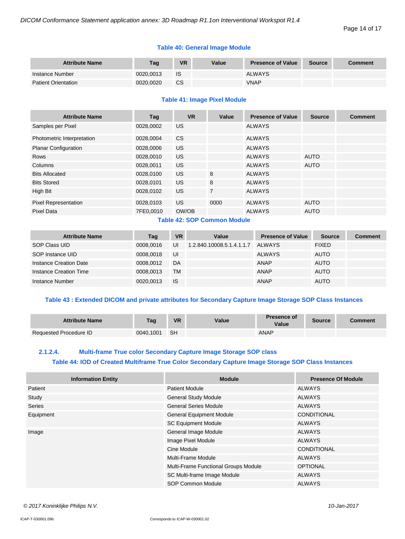#### Page 14 of 17

# **Table 40: General Image Module**

| <b>Attribute Name</b>      | Tag       | VR        | Value | <b>Presence of Value</b> | <b>Source</b> | <b>Comment</b> |
|----------------------------|-----------|-----------|-------|--------------------------|---------------|----------------|
| Instance Number            | 0020.0013 | IS        |       | <b>ALWAYS</b>            |               |                |
| <b>Patient Orientation</b> | 0020.0020 | <b>CS</b> |       | <b>VNAP</b>              |               |                |

#### **Table 41: Image Pixel Module**

| <b>Attribute Name</b>       | Tag       | <b>VR</b> | Value          | <b>Presence of Value</b> | <b>Source</b> | <b>Comment</b> |
|-----------------------------|-----------|-----------|----------------|--------------------------|---------------|----------------|
| Samples per Pixel           | 0028,0002 | <b>US</b> |                | <b>ALWAYS</b>            |               |                |
| Photometric Interpretation  | 0028.0004 | <b>CS</b> |                | <b>ALWAYS</b>            |               |                |
| <b>Planar Configuration</b> | 0028,0006 | US.       |                | <b>ALWAYS</b>            |               |                |
| Rows                        | 0028,0010 | US.       |                | <b>ALWAYS</b>            | <b>AUTO</b>   |                |
| Columns                     | 0028,0011 | US.       |                | <b>ALWAYS</b>            | <b>AUTO</b>   |                |
| <b>Bits Allocated</b>       | 0028,0100 | US.       | 8              | <b>ALWAYS</b>            |               |                |
| <b>Bits Stored</b>          | 0028,0101 | US.       | 8              | <b>ALWAYS</b>            |               |                |
| High Bit                    | 0028,0102 | <b>US</b> | $\overline{7}$ | <b>ALWAYS</b>            |               |                |
| <b>Pixel Representation</b> | 0028,0103 | US.       | 0000           | <b>ALWAYS</b>            | <b>AUTO</b>   |                |
| <b>Pixel Data</b>           | 7FE0,0010 | OW/OB     |                | <b>ALWAYS</b>            | <b>AUTO</b>   |                |

# **Table 42: SOP Common Module**

| <b>Attribute Name</b>  | Tag       | <b>VR</b> | Value                     | <b>Presence of Value</b> | <b>Source</b> | <b>Comment</b> |
|------------------------|-----------|-----------|---------------------------|--------------------------|---------------|----------------|
| SOP Class UID          | 0008.0016 | UI        | 1.2.840.10008.5.1.4.1.1.7 | ALWAYS                   | <b>FIXED</b>  |                |
| SOP Instance UID       | 0008.0018 | UI        |                           | <b>ALWAYS</b>            | <b>AUTO</b>   |                |
| Instance Creation Date | 0008.0012 | DA        |                           | ANAP                     | <b>AUTO</b>   |                |
| Instance Creation Time | 0008.0013 | TM        |                           | ANAP                     | <b>AUTO</b>   |                |
| Instance Number        | 0020.0013 | <b>IS</b> |                           | <b>ANAP</b>              | <b>AUTO</b>   |                |

# **Table 43 : Extended DICOM and private attributes for Secondary Capture Image Storage SOP Class Instances**

| <b>Attribute Name</b>         | Tag       | <b>VR</b> | Value | <b>Presence of</b><br>Value | <b>Source</b> | Comment |
|-------------------------------|-----------|-----------|-------|-----------------------------|---------------|---------|
| <b>Requested Procedure ID</b> | 0040.1001 | <b>SH</b> |       | ANAP                        |               |         |

# <span id="page-13-0"></span>**2.1.2.4. Multi-frame True color Secondary Capture Image Storage SOP class Table 44: IOD of Created Multiframe True Color Secondary Capture Image Storage SOP Class Instances**

| <b>Information Entity</b> | <b>Module</b>                        | <b>Presence Of Module</b> |  |
|---------------------------|--------------------------------------|---------------------------|--|
| Patient                   | <b>Patient Module</b>                | ALWAYS                    |  |
| Study                     | <b>General Study Module</b>          | <b>ALWAYS</b>             |  |
| <b>Series</b>             | <b>General Series Module</b>         | ALWAYS                    |  |
| Equipment                 | <b>General Equipment Module</b>      | CONDITIONAL               |  |
|                           | <b>SC Equipment Module</b>           | ALWAYS                    |  |
| Image                     | General Image Module                 | ALWAYS                    |  |
|                           | Image Pixel Module                   | <b>ALWAYS</b>             |  |
|                           | Cine Module                          | <b>CONDITIONAL</b>        |  |
|                           | Multi-Frame Module                   | ALWAYS                    |  |
|                           | Multi-Frame Functional Groups Module | <b>OPTIONAL</b>           |  |
|                           | SC Multi-frame Image Module          | ALWAYS                    |  |
|                           | SOP Common Module                    | ALWAYS                    |  |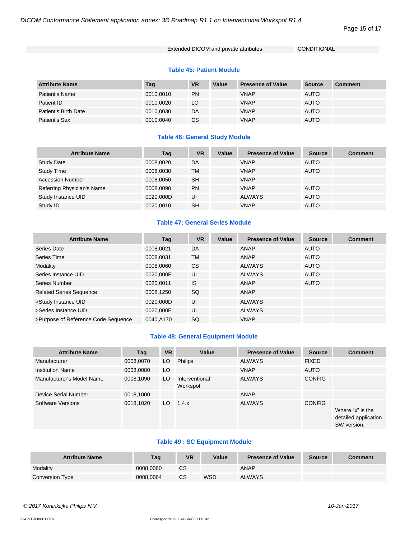#### Page 15 of 17

# Extended DICOM and private attributes CONDITIONAL

#### **Table 45: Patient Module**

| <b>Attribute Name</b> | Tag       | <b>VR</b> | Value | <b>Presence of Value</b> | Source      | <b>Comment</b> |
|-----------------------|-----------|-----------|-------|--------------------------|-------------|----------------|
| Patient's Name        | 0010,0010 | <b>PN</b> |       | <b>VNAP</b>              | <b>AUTO</b> |                |
| Patient ID            | 0010.0020 | LO.       |       | <b>VNAP</b>              | <b>AUTO</b> |                |
| Patient's Birth Date  | 0010.0030 | DA        |       | <b>VNAP</b>              | <b>AUTO</b> |                |
| Patient's Sex         | 0010,0040 | <b>CS</b> |       | <b>VNAP</b>              | <b>AUTO</b> |                |

# **Table 46: General Study Module**

| <b>Attribute Name</b>      | Tag       | <b>VR</b> | Value | <b>Presence of Value</b> | <b>Source</b> | <b>Comment</b> |
|----------------------------|-----------|-----------|-------|--------------------------|---------------|----------------|
| <b>Study Date</b>          | 0008,0020 | DA        |       | <b>VNAP</b>              | AUTO          |                |
| <b>Study Time</b>          | 0008,0030 | TM        |       | <b>VNAP</b>              | <b>AUTO</b>   |                |
| <b>Accession Number</b>    | 0008,0050 | <b>SH</b> |       | <b>VNAP</b>              |               |                |
| Referring Physician's Name | 0008,0090 | <b>PN</b> |       | <b>VNAP</b>              | <b>AUTO</b>   |                |
| Study Instance UID         | 0020,000D | UI        |       | <b>ALWAYS</b>            | <b>AUTO</b>   |                |
| Study ID                   | 0020.0010 | <b>SH</b> |       | <b>VNAP</b>              | <b>AUTO</b>   |                |

# **Table 47: General Series Module**

| <b>Attribute Name</b>               | Tag       | <b>VR</b> | Value | <b>Presence of Value</b> | <b>Source</b> | <b>Comment</b> |
|-------------------------------------|-----------|-----------|-------|--------------------------|---------------|----------------|
| Series Date                         | 0008.0021 | DA        |       | <b>ANAP</b>              | <b>AUTO</b>   |                |
| Series Time                         | 0008,0031 | <b>TM</b> |       | <b>ANAP</b>              | <b>AUTO</b>   |                |
| Modality                            | 0008,0060 | <b>CS</b> |       | <b>ALWAYS</b>            | <b>AUTO</b>   |                |
| Series Instance UID                 | 0020,000E | UI        |       | <b>ALWAYS</b>            | <b>AUTO</b>   |                |
| Series Number                       | 0020,0011 | <b>IS</b> |       | <b>ANAP</b>              | <b>AUTO</b>   |                |
| <b>Related Series Sequence</b>      | 0008,1250 | <b>SQ</b> |       | <b>ANAP</b>              |               |                |
| >Study Instance UID                 | 0020,000D | UI        |       | <b>ALWAYS</b>            |               |                |
| >Series Instance UID                | 0020,000E | UI        |       | <b>ALWAYS</b>            |               |                |
| >Purpose of Reference Code Sequence | 0040,A170 | SQ        |       | <b>VNAP</b>              |               |                |

# **Table 48: General Equipment Module**

| <b>Attribute Name</b>     | Tag       | <b>VR</b> | Value                      | <b>Presence of Value</b> | <b>Source</b> | <b>Comment</b>                                          |
|---------------------------|-----------|-----------|----------------------------|--------------------------|---------------|---------------------------------------------------------|
| Manufacturer              | 0008,0070 | LO        | <b>Philips</b>             | <b>ALWAYS</b>            | <b>FIXED</b>  |                                                         |
| <b>Institution Name</b>   | 0008,0080 | LO        |                            | <b>VNAP</b>              | <b>AUTO</b>   |                                                         |
| Manufacturer's Model Name | 0008,1090 | LO.       | Interventional<br>Workspot | <b>ALWAYS</b>            | <b>CONFIG</b> |                                                         |
| Device Serial Number      | 0018,1000 |           |                            | ANAP                     |               |                                                         |
| Software Versions         | 0018,1020 | LO        | 1.4.x                      | <b>ALWAYS</b>            | <b>CONFIG</b> | Where "x" is the<br>detailed application<br>SW version. |

# **Table 49 : SC Equipment Module**

| <b>Attribute Name</b> | Taq       | VR | Value      | <b>Presence of Value</b> | <b>Source</b> | Comment |
|-----------------------|-----------|----|------------|--------------------------|---------------|---------|
| Modality              | 0008.0060 | CS |            | <b>ANAP</b>              |               |         |
| Conversion Type       | 0008.0064 | CS | <b>WSD</b> | <b>ALWAYS</b>            |               |         |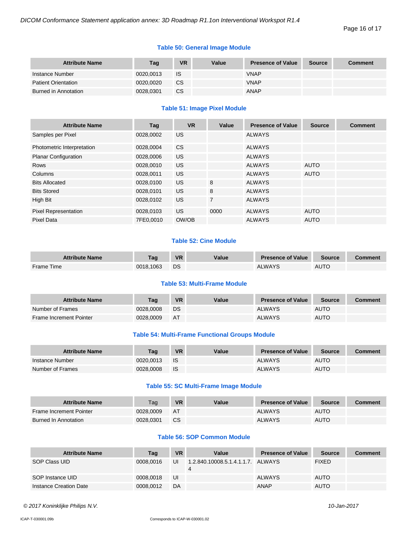# **Table 50: General Image Module**

| <b>Attribute Name</b>      | Tag       | <b>VR</b> | Value | <b>Presence of Value</b> | <b>Source</b> | <b>Comment</b> |
|----------------------------|-----------|-----------|-------|--------------------------|---------------|----------------|
| Instance Number            | 0020.0013 | IS        |       | <b>VNAP</b>              |               |                |
| <b>Patient Orientation</b> | 0020.0020 | <b>CS</b> |       | <b>VNAP</b>              |               |                |
| Burned in Annotation       | 0028.0301 | CS        |       | <b>ANAP</b>              |               |                |

# **Table 51: Image Pixel Module**

| <b>Attribute Name</b>       | Tag       | <b>VR</b> | Value          | <b>Presence of Value</b> | <b>Source</b> | <b>Comment</b> |
|-----------------------------|-----------|-----------|----------------|--------------------------|---------------|----------------|
| Samples per Pixel           | 0028,0002 | US.       |                | <b>ALWAYS</b>            |               |                |
| Photometric Interpretation  | 0028,0004 | <b>CS</b> |                | <b>ALWAYS</b>            |               |                |
| <b>Planar Configuration</b> | 0028,0006 | US.       |                | <b>ALWAYS</b>            |               |                |
| <b>Rows</b>                 | 0028.0010 | US.       |                | <b>ALWAYS</b>            | <b>AUTO</b>   |                |
| Columns                     | 0028.0011 | US.       |                | <b>ALWAYS</b>            | <b>AUTO</b>   |                |
| <b>Bits Allocated</b>       | 0028,0100 | US.       | 8              | <b>ALWAYS</b>            |               |                |
| <b>Bits Stored</b>          | 0028,0101 | US.       | 8              | <b>ALWAYS</b>            |               |                |
| High Bit                    | 0028,0102 | <b>US</b> | $\overline{7}$ | <b>ALWAYS</b>            |               |                |
| <b>Pixel Representation</b> | 0028,0103 | US.       | 0000           | <b>ALWAYS</b>            | <b>AUTO</b>   |                |
| <b>Pixel Data</b>           | 7FE0,0010 | OW/OB     |                | <b>ALWAYS</b>            | <b>AUTO</b>   |                |

# **Table 52: Cine Module**

| <b>Attribute Name</b> | Taɑ       | <b>VR</b> | Value | <b>Presence of Value</b> | Source      | Comment |
|-----------------------|-----------|-----------|-------|--------------------------|-------------|---------|
| Frame Time            | 0018.1063 | DS        |       | ALWAYS                   | <b>AUTO</b> |         |

# **Table 53: Multi-Frame Module**

| <b>Attribute Name</b>          | Taɑ       | <b>VR</b> | Value | <b>Presence of Value</b> | Source      | Comment |
|--------------------------------|-----------|-----------|-------|--------------------------|-------------|---------|
| Number of Frames               | 0028,0008 | DS        |       | <b>ALWAYS</b>            | <b>AUTO</b> |         |
| <b>Frame Increment Pointer</b> | 0028,0009 | AT        |       | <b>ALWAYS</b>            | <b>AUTO</b> |         |

# **Table 54: Multi-Frame Functional Groups Module**

| <b>Attribute Name</b> | Taq       | <b>VR</b> | Value | <b>Presence of Value</b> | <b>Source</b> | Comment |
|-----------------------|-----------|-----------|-------|--------------------------|---------------|---------|
| Instance Number       | 0020.0013 | -IS       |       | <b>ALWAYS</b>            | <b>AUTO</b>   |         |
| Number of Frames      | 0028.0008 | - IS      |       | <b>ALWAYS</b>            | <b>AUTO</b>   |         |

# **Table 55: SC Multi-Frame Image Module**

| <b>Attribute Name</b>          | Tag       | <b>VR</b> | Value | <b>Presence of Value</b> | Source      | Comment |
|--------------------------------|-----------|-----------|-------|--------------------------|-------------|---------|
| <b>Frame Increment Pointer</b> | 0028.0009 | AT        |       | <b>ALWAYS</b>            | <b>AUTO</b> |         |
| Burned In Annotation           | 0028.0301 | <b>CS</b> |       | <b>ALWAYS</b>            | <b>AUTO</b> |         |

# **Table 56: SOP Common Module**

| <b>Attribute Name</b>  | Tag       | <b>VR</b> | Value                                  | <b>Presence of Value</b> | <b>Source</b> | <b>Comment</b> |
|------------------------|-----------|-----------|----------------------------------------|--------------------------|---------------|----------------|
| SOP Class UID          | 0008.0016 | UI        | 1.2.840.10008.5.1.4.1.1.7. ALWAYS<br>4 |                          | <b>FIXED</b>  |                |
| SOP Instance UID       | 0008.0018 | UI        |                                        | <b>ALWAYS</b>            | <b>AUTO</b>   |                |
| Instance Creation Date | 0008.0012 | DA        |                                        | <b>ANAP</b>              | <b>AUTO</b>   |                |